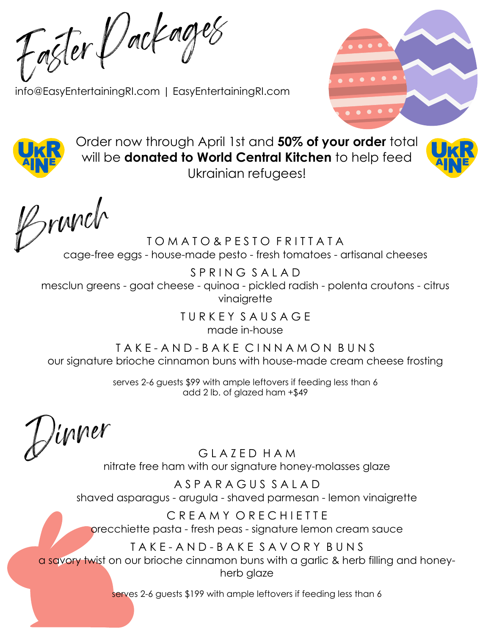Easter Packages

[info@EasyEntertainingRI.com](mailto:info@EasyEntertainingRI.com) | EasyEntertainingRI.com





Order now through April 1st and **50% of your order** total will be **donated to World Central Kitchen** to help feed Ukrainian refugees!



Brunch TOMATO&PESTO FRITTATA

cage-free eggs - house-made pesto - fresh tomatoes - artisanal cheeses

S P R I N G S A L A D mesclun greens - goat cheese - quinoa - pickled radish - polenta croutons - citrus vinaigrette

T U R K E Y S A U S A G E

made in-house

T A K E - A N D - B A K E C I N N A M O N B U N S our signature brioche cinnamon buns with house-made cream cheese frosting

> serves 2-6 guests \$99 with ample leftovers if feeding less than 6 add 2 lb. of glazed ham +\$49

Jinner<br>GLAZED HAM

nitrate free ham with our signature honey-molasses glaze

A S P A R A G U S S A L A D shaved asparagus - arugula - shaved parmesan - lemon vinaigrette

C R E A M Y O R E C H I E T T E orecchiette pasta - fresh peas - signature lemon cream sauce

## T A K E - A N D - B A K E S A V O R Y B U N S

a savory twist on our brioche cinnamon buns with a garlic & herb filling and honeyherb glaze

serves 2-6 guests \$199 with ample leftovers if feeding less than 6